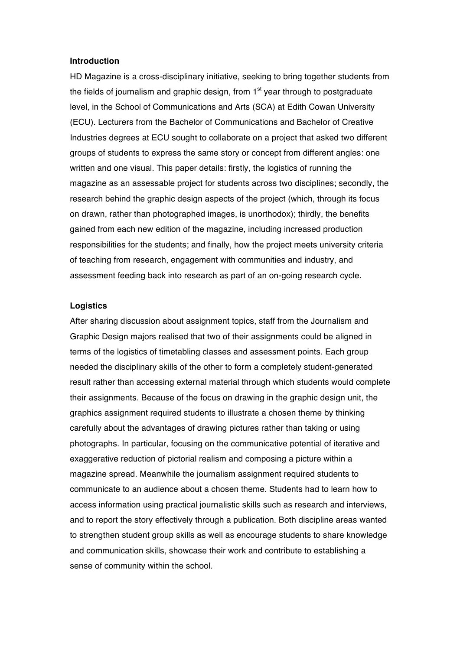### **Introduction**

HD Magazine is a cross-disciplinary initiative, seeking to bring together students from the fields of journalism and graphic design, from  $1<sup>st</sup>$  year through to postgraduate level, in the School of Communications and Arts (SCA) at Edith Cowan University (ECU). Lecturers from the Bachelor of Communications and Bachelor of Creative Industries degrees at ECU sought to collaborate on a project that asked two different groups of students to express the same story or concept from different angles: one written and one visual. This paper details: firstly, the logistics of running the magazine as an assessable project for students across two disciplines; secondly, the research behind the graphic design aspects of the project (which, through its focus on drawn, rather than photographed images, is unorthodox); thirdly, the benefits gained from each new edition of the magazine, including increased production responsibilities for the students; and finally, how the project meets university criteria of teaching from research, engagement with communities and industry, and assessment feeding back into research as part of an on-going research cycle.

#### **Logistics**

After sharing discussion about assignment topics, staff from the Journalism and Graphic Design majors realised that two of their assignments could be aligned in terms of the logistics of timetabling classes and assessment points. Each group needed the disciplinary skills of the other to form a completely student-generated result rather than accessing external material through which students would complete their assignments. Because of the focus on drawing in the graphic design unit, the graphics assignment required students to illustrate a chosen theme by thinking carefully about the advantages of drawing pictures rather than taking or using photographs. In particular, focusing on the communicative potential of iterative and exaggerative reduction of pictorial realism and composing a picture within a magazine spread. Meanwhile the journalism assignment required students to communicate to an audience about a chosen theme. Students had to learn how to access information using practical journalistic skills such as research and interviews, and to report the story effectively through a publication. Both discipline areas wanted to strengthen student group skills as well as encourage students to share knowledge and communication skills, showcase their work and contribute to establishing a sense of community within the school.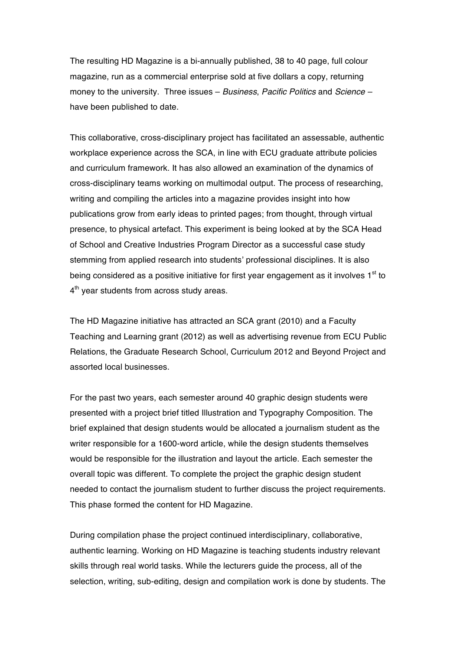The resulting HD Magazine is a bi-annually published, 38 to 40 page, full colour magazine, run as a commercial enterprise sold at five dollars a copy, returning money to the university. Three issues – *Business*, *Pacific Politics* and *Science –* have been published to date.

This collaborative, cross-disciplinary project has facilitated an assessable, authentic workplace experience across the SCA, in line with ECU graduate attribute policies and curriculum framework. It has also allowed an examination of the dynamics of cross-disciplinary teams working on multimodal output. The process of researching, writing and compiling the articles into a magazine provides insight into how publications grow from early ideas to printed pages; from thought, through virtual presence, to physical artefact. This experiment is being looked at by the SCA Head of School and Creative Industries Program Director as a successful case study stemming from applied research into students' professional disciplines. It is also being considered as a positive initiative for first year engagement as it involves  $1<sup>st</sup>$  to 4<sup>th</sup> year students from across study areas.

The HD Magazine initiative has attracted an SCA grant (2010) and a Faculty Teaching and Learning grant (2012) as well as advertising revenue from ECU Public Relations, the Graduate Research School, Curriculum 2012 and Beyond Project and assorted local businesses.

For the past two years, each semester around 40 graphic design students were presented with a project brief titled Illustration and Typography Composition. The brief explained that design students would be allocated a journalism student as the writer responsible for a 1600-word article, while the design students themselves would be responsible for the illustration and layout the article. Each semester the overall topic was different. To complete the project the graphic design student needed to contact the journalism student to further discuss the project requirements. This phase formed the content for HD Magazine.

During compilation phase the project continued interdisciplinary, collaborative, authentic learning. Working on HD Magazine is teaching students industry relevant skills through real world tasks. While the lecturers guide the process, all of the selection, writing, sub-editing, design and compilation work is done by students. The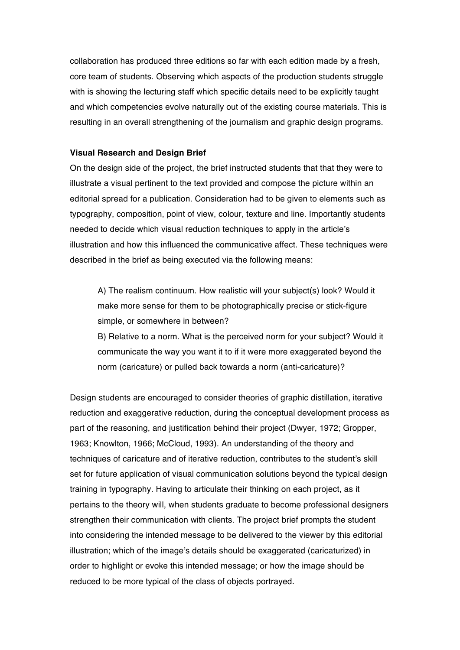collaboration has produced three editions so far with each edition made by a fresh, core team of students. Observing which aspects of the production students struggle with is showing the lecturing staff which specific details need to be explicitly taught and which competencies evolve naturally out of the existing course materials. This is resulting in an overall strengthening of the journalism and graphic design programs.

## **Visual Research and Design Brief**

On the design side of the project, the brief instructed students that that they were to illustrate a visual pertinent to the text provided and compose the picture within an editorial spread for a publication. Consideration had to be given to elements such as typography, composition, point of view, colour, texture and line. Importantly students needed to decide which visual reduction techniques to apply in the article's illustration and how this influenced the communicative affect. These techniques were described in the brief as being executed via the following means:

A) The realism continuum. How realistic will your subject(s) look? Would it make more sense for them to be photographically precise or stick-figure simple, or somewhere in between?

B) Relative to a norm. What is the perceived norm for your subject? Would it communicate the way you want it to if it were more exaggerated beyond the norm (caricature) or pulled back towards a norm (anti-caricature)?

Design students are encouraged to consider theories of graphic distillation, iterative reduction and exaggerative reduction, during the conceptual development process as part of the reasoning, and justification behind their project (Dwyer, 1972; Gropper, 1963; Knowlton, 1966; McCloud, 1993). An understanding of the theory and techniques of caricature and of iterative reduction, contributes to the student's skill set for future application of visual communication solutions beyond the typical design training in typography. Having to articulate their thinking on each project, as it pertains to the theory will, when students graduate to become professional designers strengthen their communication with clients. The project brief prompts the student into considering the intended message to be delivered to the viewer by this editorial illustration; which of the image's details should be exaggerated (caricaturized) in order to highlight or evoke this intended message; or how the image should be reduced to be more typical of the class of objects portrayed.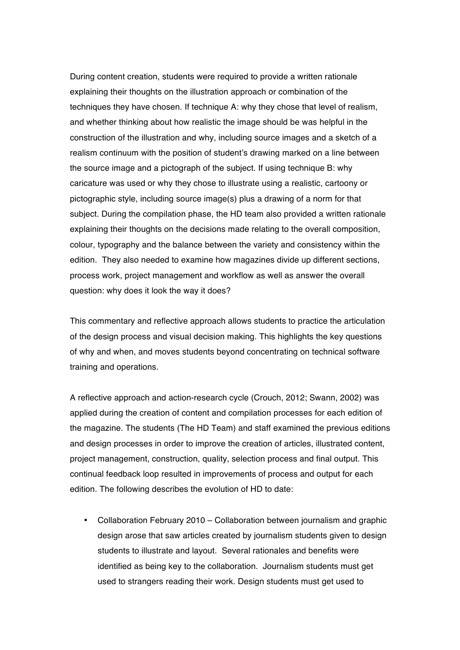During content creation, students were required to provide a written rationale explaining their thoughts on the illustration approach or combination of the techniques they have chosen. If technique A: why they chose that level of realism, and whether thinking about how realistic the image should be was helpful in the construction of the illustration and why, including source images and a sketch of a realism continuum with the position of student's drawing marked on a line between the source image and a pictograph of the subject. If using technique B: why caricature was used or why they chose to illustrate using a realistic, cartoony or pictographic style, including source image(s) plus a drawing of a norm for that subject. During the compilation phase, the HD team also provided a written rationale explaining their thoughts on the decisions made relating to the overall composition, colour, typography and the balance between the variety and consistency within the edition. They also needed to examine how magazines divide up different sections, process work, project management and workflow as well as answer the overall question: why does it look the way it does?

This commentary and reflective approach allows students to practice the articulation of the design process and visual decision making. This highlights the key questions of why and when, and moves students beyond concentrating on technical software training and operations.

A reflective approach and action-research cycle (Crouch, 2012; Swann, 2002) was applied during the creation of content and compilation processes for each edition of the magazine. The students (The HD Team) and staff examined the previous editions and design processes in order to improve the creation of articles, illustrated content, project management, construction, quality, selection process and final output. This continual feedback loop resulted in improvements of process and output for each edition. The following describes the evolution of HD to date:

• Collaboration February 2010 – Collaboration between journalism and graphic design arose that saw articles created by journalism students given to design students to illustrate and layout. Several rationales and benefits were identified as being key to the collaboration. Journalism students must get used to strangers reading their work. Design students must get used to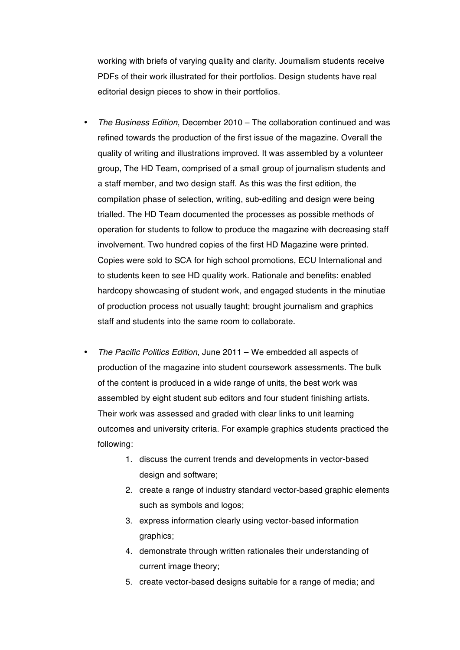working with briefs of varying quality and clarity. Journalism students receive PDFs of their work illustrated for their portfolios. Design students have real editorial design pieces to show in their portfolios.

- *The Business Edition*, December 2010 The collaboration continued and was refined towards the production of the first issue of the magazine. Overall the quality of writing and illustrations improved. It was assembled by a volunteer group, The HD Team, comprised of a small group of journalism students and a staff member, and two design staff. As this was the first edition, the compilation phase of selection, writing, sub-editing and design were being trialled. The HD Team documented the processes as possible methods of operation for students to follow to produce the magazine with decreasing staff involvement. Two hundred copies of the first HD Magazine were printed. Copies were sold to SCA for high school promotions, ECU International and to students keen to see HD quality work. Rationale and benefits: enabled hardcopy showcasing of student work, and engaged students in the minutiae of production process not usually taught; brought journalism and graphics staff and students into the same room to collaborate.
- *The Pacific Politics Edition*, June 2011 We embedded all aspects of production of the magazine into student coursework assessments. The bulk of the content is produced in a wide range of units, the best work was assembled by eight student sub editors and four student finishing artists. Their work was assessed and graded with clear links to unit learning outcomes and university criteria. For example graphics students practiced the following:
	- 1. discuss the current trends and developments in vector-based design and software;
	- 2. create a range of industry standard vector-based graphic elements such as symbols and logos;
	- 3. express information clearly using vector-based information graphics;
	- 4. demonstrate through written rationales their understanding of current image theory;
	- 5. create vector-based designs suitable for a range of media; and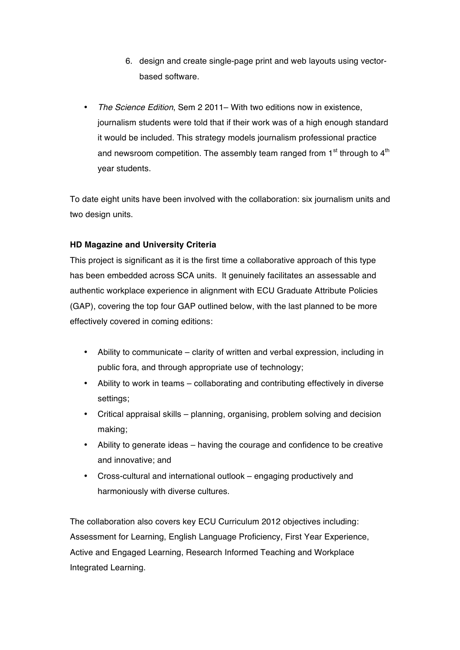- 6. design and create single-page print and web layouts using vectorbased software.
- *The Science Edition*, Sem 2 2011– With two editions now in existence, journalism students were told that if their work was of a high enough standard it would be included. This strategy models journalism professional practice and newsroom competition. The assembly team ranged from  $1<sup>st</sup>$  through to  $4<sup>th</sup>$ year students.

To date eight units have been involved with the collaboration: six journalism units and two design units.

# **HD Magazine and University Criteria**

This project is significant as it is the first time a collaborative approach of this type has been embedded across SCA units. It genuinely facilitates an assessable and authentic workplace experience in alignment with ECU Graduate Attribute Policies (GAP), covering the top four GAP outlined below, with the last planned to be more effectively covered in coming editions:

- Ability to communicate clarity of written and verbal expression, including in public fora, and through appropriate use of technology;
- Ability to work in teams collaborating and contributing effectively in diverse settings;
- Critical appraisal skills planning, organising, problem solving and decision making;
- Ability to generate ideas having the courage and confidence to be creative and innovative; and
- Cross-cultural and international outlook engaging productively and harmoniously with diverse cultures.

The collaboration also covers key ECU Curriculum 2012 objectives including: Assessment for Learning, English Language Proficiency, First Year Experience, Active and Engaged Learning, Research Informed Teaching and Workplace Integrated Learning.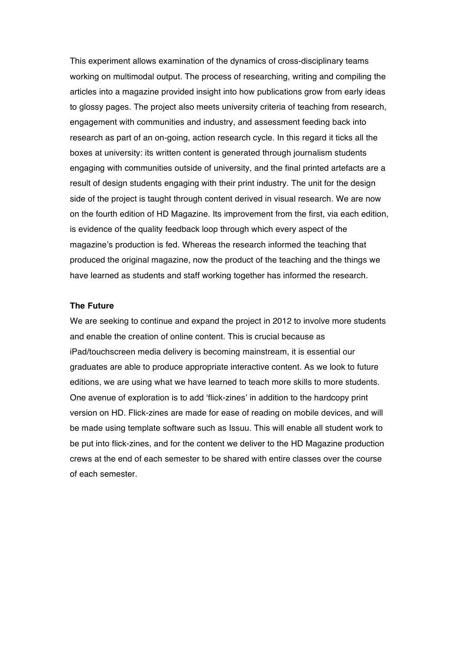This experiment allows examination of the dynamics of cross-disciplinary teams working on multimodal output. The process of researching, writing and compiling the articles into a magazine provided insight into how publications grow from early ideas to glossy pages. The project also meets university criteria of teaching from research, engagement with communities and industry, and assessment feeding back into research as part of an on-going, action research cycle. In this regard it ticks all the boxes at university: its written content is generated through journalism students engaging with communities outside of university, and the final printed artefacts are a result of design students engaging with their print industry. The unit for the design side of the project is taught through content derived in visual research. We are now on the fourth edition of HD Magazine. Its improvement from the first, via each edition, is evidence of the quality feedback loop through which every aspect of the magazine's production is fed. Whereas the research informed the teaching that produced the original magazine, now the product of the teaching and the things we have learned as students and staff working together has informed the research.

### **The Future**

We are seeking to continue and expand the project in 2012 to involve more students and enable the creation of online content. This is crucial because as iPad/touchscreen media delivery is becoming mainstream, it is essential our graduates are able to produce appropriate interactive content. As we look to future editions, we are using what we have learned to teach more skills to more students. One avenue of exploration is to add 'flick-zines' in addition to the hardcopy print version on HD. Flick-zines are made for ease of reading on mobile devices, and will be made using template software such as Issuu. This will enable all student work to be put into flick-zines, and for the content we deliver to the HD Magazine production crews at the end of each semester to be shared with entire classes over the course of each semester.